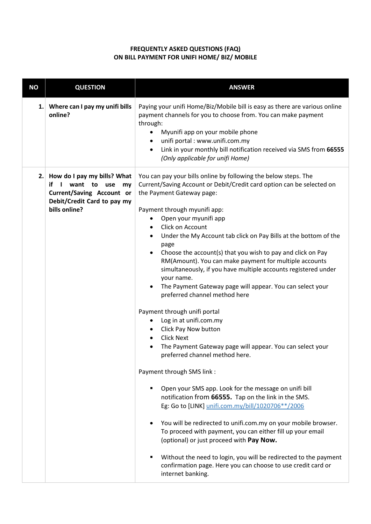## **FREQUENTLY ASKED QUESTIONS (FAQ) ON BILL PAYMENT FOR UNIFI HOME/ BIZ/ MOBILE**

| <b>NO</b> | <b>QUESTION</b>                                                                                                                          | <b>ANSWER</b>                                                                                                                                                                                                                                                                                                                                                                                                                                                                                                                                                                                                                                                                                                                                                                                                                                                                                                                                                                                                                                                                                                                                                                                                                                                                                                                                                                                                                              |  |
|-----------|------------------------------------------------------------------------------------------------------------------------------------------|--------------------------------------------------------------------------------------------------------------------------------------------------------------------------------------------------------------------------------------------------------------------------------------------------------------------------------------------------------------------------------------------------------------------------------------------------------------------------------------------------------------------------------------------------------------------------------------------------------------------------------------------------------------------------------------------------------------------------------------------------------------------------------------------------------------------------------------------------------------------------------------------------------------------------------------------------------------------------------------------------------------------------------------------------------------------------------------------------------------------------------------------------------------------------------------------------------------------------------------------------------------------------------------------------------------------------------------------------------------------------------------------------------------------------------------------|--|
| 1.        | Where can I pay my unifi bills<br>online?                                                                                                | Paying your unifi Home/Biz/Mobile bill is easy as there are various online<br>payment channels for you to choose from. You can make payment<br>through:<br>Myunifi app on your mobile phone<br>٠<br>unifi portal : www.unifi.com.my<br>٠<br>Link in your monthly bill notification received via SMS from 66555<br>(Only applicable for unifi Home)                                                                                                                                                                                                                                                                                                                                                                                                                                                                                                                                                                                                                                                                                                                                                                                                                                                                                                                                                                                                                                                                                         |  |
| 2.1       | How do I pay my bills? What<br>if I<br>want to<br>use<br>my<br>Current/Saving Account or<br>Debit/Credit Card to pay my<br>bills online? | You can pay your bills online by following the below steps. The<br>Current/Saving Account or Debit/Credit card option can be selected on<br>the Payment Gateway page:<br>Payment through myunifi app:<br>Open your myunifi app<br>Click on Account<br>$\bullet$<br>Under the My Account tab click on Pay Bills at the bottom of the<br>page<br>Choose the account(s) that you wish to pay and click on Pay<br>RM(Amount). You can make payment for multiple accounts<br>simultaneously, if you have multiple accounts registered under<br>your name.<br>The Payment Gateway page will appear. You can select your<br>$\bullet$<br>preferred channel method here<br>Payment through unifi portal<br>Log in at unifi.com.my<br>$\bullet$<br>Click Pay Now button<br><b>Click Next</b><br>٠<br>The Payment Gateway page will appear. You can select your<br>preferred channel method here.<br>Payment through SMS link :<br>Open your SMS app. Look for the message on unifi bill<br>٠<br>notification from 66555. Tap on the link in the SMS.<br>Eg: Go to [LINK] unifi.com.my/bill/1020706**/2006<br>You will be redirected to unifi.com.my on your mobile browser.<br>To proceed with payment, you can either fill up your email<br>(optional) or just proceed with Pay Now.<br>Without the need to login, you will be redirected to the payment<br>п<br>confirmation page. Here you can choose to use credit card or<br>internet banking. |  |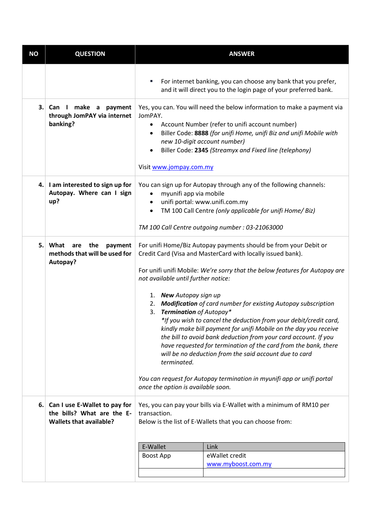| <b>NO</b> | <b>QUESTION</b>                                                                               |                                                                                                                                                                                                                                                                                                                                                                                                                                                                                                                                                                                                                                                                                                                                                                                                                                                              | <b>ANSWER</b>                                                                                                                      |  |
|-----------|-----------------------------------------------------------------------------------------------|--------------------------------------------------------------------------------------------------------------------------------------------------------------------------------------------------------------------------------------------------------------------------------------------------------------------------------------------------------------------------------------------------------------------------------------------------------------------------------------------------------------------------------------------------------------------------------------------------------------------------------------------------------------------------------------------------------------------------------------------------------------------------------------------------------------------------------------------------------------|------------------------------------------------------------------------------------------------------------------------------------|--|
|           |                                                                                               | u,                                                                                                                                                                                                                                                                                                                                                                                                                                                                                                                                                                                                                                                                                                                                                                                                                                                           | For internet banking, you can choose any bank that you prefer,<br>and it will direct you to the login page of your preferred bank. |  |
| 3.        | make a payment<br>Can I<br>through JomPAY via internet<br>banking?                            | Yes, you can. You will need the below information to make a payment via<br>JomPAY.<br>Account Number (refer to unifi account number)<br>$\bullet$<br>Biller Code: 8888 (for unifi Home, unifi Biz and unifi Mobile with<br>$\bullet$<br>new 10-digit account number)<br>Biller Code: 2345 (Streamyx and Fixed line (telephony)<br>$\bullet$<br>Visit www.jompay.com.my                                                                                                                                                                                                                                                                                                                                                                                                                                                                                       |                                                                                                                                    |  |
| 4.        | I am interested to sign up for<br>Autopay. Where can I sign<br>up?                            | You can sign up for Autopay through any of the following channels:<br>myunifi app via mobile<br>$\bullet$<br>unifi portal: www.unifi.com.my<br>$\bullet$<br>TM 100 Call Centre (only applicable for unifi Home/ Biz)<br>TM 100 Call Centre outgoing number : 03-21063000                                                                                                                                                                                                                                                                                                                                                                                                                                                                                                                                                                                     |                                                                                                                                    |  |
| 5.        | What<br>the<br>are<br>payment<br>methods that will be used for<br>Autopay?                    | For unifi Home/Biz Autopay payments should be from your Debit or<br>Credit Card (Visa and MasterCard with locally issued bank).<br>For unifi unifi Mobile: We're sorry that the below features for Autopay are<br>not available until further notice:<br>1. New Autopay sign up<br>2. Modification of card number for existing Autopay subscription<br>Termination of Autopay*<br>3.<br>*If you wish to cancel the deduction from your debit/credit card,<br>kindly make bill payment for unifi Mobile on the day you receive<br>the bill to avoid bank deduction from your card account. If you<br>have requested for termination of the card from the bank, there<br>will be no deduction from the said account due to card<br>terminated.<br>You can request for Autopay termination in myunifi app or unifi portal<br>once the option is available soon. |                                                                                                                                    |  |
| 6.        | Can I use E-Wallet to pay for<br>the bills? What are the E-<br><b>Wallets that available?</b> | Yes, you can pay your bills via E-Wallet with a minimum of RM10 per<br>transaction.<br>Below is the list of E-Wallets that you can choose from:                                                                                                                                                                                                                                                                                                                                                                                                                                                                                                                                                                                                                                                                                                              |                                                                                                                                    |  |
|           |                                                                                               | E-Wallet                                                                                                                                                                                                                                                                                                                                                                                                                                                                                                                                                                                                                                                                                                                                                                                                                                                     | Link                                                                                                                               |  |
|           |                                                                                               | Boost App                                                                                                                                                                                                                                                                                                                                                                                                                                                                                                                                                                                                                                                                                                                                                                                                                                                    | eWallet credit                                                                                                                     |  |
|           |                                                                                               |                                                                                                                                                                                                                                                                                                                                                                                                                                                                                                                                                                                                                                                                                                                                                                                                                                                              | www.myboost.com.my                                                                                                                 |  |
|           |                                                                                               |                                                                                                                                                                                                                                                                                                                                                                                                                                                                                                                                                                                                                                                                                                                                                                                                                                                              |                                                                                                                                    |  |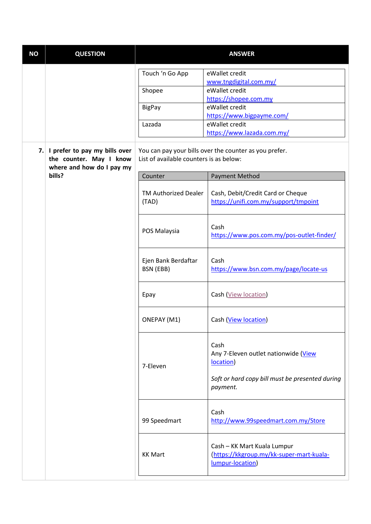| <b>NO</b> | <b>QUESTION</b>                                                                                                                                                                            | <b>ANSWER</b>                        |                                                                                             |
|-----------|--------------------------------------------------------------------------------------------------------------------------------------------------------------------------------------------|--------------------------------------|---------------------------------------------------------------------------------------------|
|           |                                                                                                                                                                                            | Touch 'n Go App                      | eWallet credit<br>www.tngdigital.com.my/<br>eWallet credit                                  |
|           |                                                                                                                                                                                            | Shopee<br><b>BigPay</b>              | https://shopee.com.my<br>eWallet credit                                                     |
|           |                                                                                                                                                                                            | Lazada                               | https://www.bigpayme.com/<br>eWallet credit                                                 |
| 7.        | I prefer to pay my bills over<br>You can pay your bills over the counter as you prefer.<br>List of available counters is as below:<br>the counter. May I know<br>where and how do I pay my |                                      | https://www.lazada.com.my/                                                                  |
|           | bills?                                                                                                                                                                                     | Counter                              | <b>Payment Method</b>                                                                       |
|           |                                                                                                                                                                                            | <b>TM Authorized Dealer</b><br>(TAD) | Cash, Debit/Credit Card or Cheque<br>https://unifi.com.my/support/tmpoint                   |
|           |                                                                                                                                                                                            | POS Malaysia                         | Cash<br>https://www.pos.com.my/pos-outlet-finder/                                           |
|           |                                                                                                                                                                                            | Ejen Bank Berdaftar<br>BSN (EBB)     | Cash<br>https://www.bsn.com.my/page/locate-us                                               |
|           |                                                                                                                                                                                            | Epay                                 | Cash (View location)                                                                        |
|           |                                                                                                                                                                                            | ONEPAY (M1)                          | Cash (View location)                                                                        |
|           |                                                                                                                                                                                            | 7-Eleven                             | Cash<br>Any 7-Eleven outlet nationwide (View<br>location)                                   |
|           |                                                                                                                                                                                            |                                      | Soft or hard copy bill must be presented during<br>payment.                                 |
|           |                                                                                                                                                                                            | 99 Speedmart                         | Cash<br>http://www.99speedmart.com.my/Store                                                 |
|           |                                                                                                                                                                                            | <b>KK Mart</b>                       | Cash - KK Mart Kuala Lumpur<br>(https://kkgroup.my/kk-super-mart-kuala-<br>lumpur-location) |